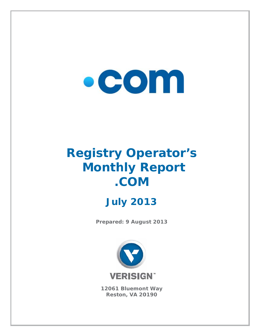# $\bullet$  COM

## **Registry Operator's Monthly Report .C COM Jul y 201 M13**

**Prepared: 9 August 2013** 



**12061 B Bluemon t Way Reston, VA 20190**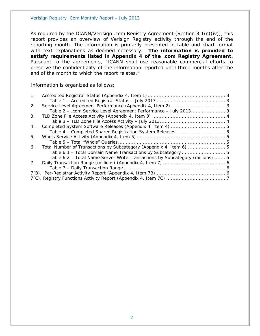Verisign Registry .Com Monthly Report – July 2013

As required by the ICANN/Verisign .com Registry Agreement (Section 3.1(c)(iv)), this report provides an overview of Verisign Registry activity through the end of the reporting month. The information is primarily presented in table and chart format with text explanations as deemed necessary. **The information is provided to satisfy requirements listed in Appendix 4 of the .com Registry Agreement.** Pursuant to the agreements, "ICANN shall use reasonable commercial efforts to preserve the confidentiality of the information reported until three months after the end of the month to which the report relates."

Information is organized as follows:

| 1 <sub>1</sub> |                                                                               |  |
|----------------|-------------------------------------------------------------------------------|--|
|                |                                                                               |  |
| 2.             |                                                                               |  |
|                | Table 2 - .com Service Level Agreement Performance - July 2013 3              |  |
| 3.             |                                                                               |  |
|                |                                                                               |  |
| 4.             |                                                                               |  |
|                |                                                                               |  |
| 5.             |                                                                               |  |
|                |                                                                               |  |
| 6.             |                                                                               |  |
|                |                                                                               |  |
|                | Table 6.2 – Total Name Server Write Transactions by Subcategory (millions)  5 |  |
| $7_{\cdot}$    |                                                                               |  |
|                |                                                                               |  |
|                |                                                                               |  |
|                |                                                                               |  |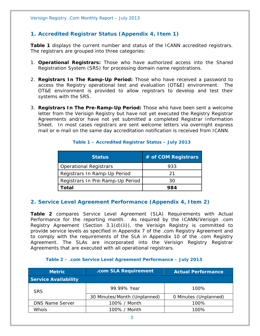#### **1. Accredited Registrar Status (Appendix 4, Item 1)**

**Table 1** displays the current number and status of the ICANN accredited registrars. The registrars are grouped into three categories:

- 1. **Operational Registrars:** Those who have authorized access into the Shared Registration System (SRS) for processing domain name registrations.
- 2. **Registrars In The Ramp-Up Period:** Those who have received a password to access the Registry operational test and evaluation (OT&E) environment. The OT&E environment is provided to allow registrars to develop and test their systems with the SRS.
- 3. **Registrars In The Pre-Ramp-Up Period:** Those who have been sent a welcome letter from the Verisign Registry but have not yet executed the Registry Registrar Agreements and/or have not yet submitted a completed Registrar Information Sheet. In most cases registrars are sent welcome letters via overnight express mail or e-mail on the same day accreditation notification is received from ICANN.

| <b>Status</b>                    | # of COM Registrars |
|----------------------------------|---------------------|
| <b>Operational Registrars</b>    | 933                 |
| Registrars In Ramp-Up Period     | 21                  |
| Registrars In Pre-Ramp-Up Period | 30                  |
| <b>Total</b>                     | 984                 |

#### **Table 1 – Accredited Registrar Status – July 2013**

#### **2. Service Level Agreement Performance (Appendix 4, Item 2)**

**Table 2** compares Service Level Agreement (SLA) Requirements with Actual Performance for the reporting month. As required by the ICANN/Verisign .com Registry Agreement (Section 3.1(d)(ii)), the Verisign Registry is committed to provide service levels as specified in Appendix 7 of the .com Registry Agreement and to comply with the requirements of the SLA in Appendix 10 of the .com Registry Agreement. The SLAs are incorporated into the Verisign Registry Registrar Agreements that are executed with all operational registrars.

#### **Table 2 – .com Service Level Agreement Performance – July 2013**

| <b>Metric</b>               | .com SLA Requirement         | <b>Actual Performance</b> |
|-----------------------------|------------------------------|---------------------------|
| <b>Service Availability</b> |                              |                           |
| <b>SRS</b>                  | 99.99% Year                  | $100\%$                   |
|                             | 30 Minutes/Month (Unplanned) | 0 Minutes (Unplanned)     |
| <b>DNS Name Server</b>      | 100% / Month                 | 100%                      |
| <b>Whois</b>                | 100% / Month                 | 100%                      |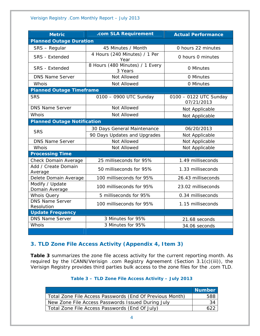| <b>Metric</b>                        | .com SLA Requirement                       | <b>Actual Performance</b>            |  |
|--------------------------------------|--------------------------------------------|--------------------------------------|--|
| <b>Planned Outage Duration</b>       |                                            |                                      |  |
| SRS - Regular                        | 45 Minutes / Month                         | 0 hours 22 minutes                   |  |
| <b>SRS</b> - Extended                | 4 Hours (240 Minutes) / 1 Per<br>Year      | 0 hours 0 minutes                    |  |
| <b>SRS</b> - Extended                | 8 Hours (480 Minutes) / 1 Every<br>3 Years | 0 Minutes                            |  |
| <b>DNS Name Server</b>               | Not Allowed                                | 0 Minutes                            |  |
| Whois                                | Not Allowed                                | 0 Minutes                            |  |
| <b>Planned Outage Timeframe</b>      |                                            |                                      |  |
| <b>SRS</b>                           | 0100 - 0900 UTC Sunday                     | 0100 - 0122 UTC Sunday<br>07/21/2013 |  |
| <b>DNS Name Server</b>               | Not Allowed                                | Not Applicable                       |  |
| Whois                                | Not Allowed                                | Not Applicable                       |  |
| <b>Planned Outage Notification</b>   |                                            |                                      |  |
| <b>SRS</b>                           | 30 Days General Maintenance                | 06/20/2013                           |  |
|                                      | 90 Days Updates and Upgrades               | Not Applicable                       |  |
| <b>DNS Name Server</b>               | Not Allowed                                | Not Applicable                       |  |
| Whois                                | Not Allowed                                | Not Applicable                       |  |
| <b>Processing Time</b>               |                                            |                                      |  |
| Check Domain Average                 | 25 milliseconds for 95%                    | 1.49 milliseconds                    |  |
| Add / Create Domain<br>Average       | 50 milliseconds for 95%                    | 1.33 milliseconds                    |  |
| Delete Domain Average                | 100 milliseconds for 95%                   | 26.43 milliseconds                   |  |
| Modify / Update<br>Domain Average    | 100 milliseconds for 95%                   | 23.02 milliseconds                   |  |
| <b>Whois Query</b>                   | 5 milliseconds for 95%                     | 0.34 milliseconds                    |  |
| <b>DNS Name Server</b><br>Resolution | 100 milliseconds for 95%                   | 1.15 milliseconds                    |  |
| <b>Update Frequency</b>              |                                            |                                      |  |
| <b>DNS Name Server</b>               | 3 Minutes for 95%                          | 21.68 seconds                        |  |
| Whois                                | 3 Minutes for 95%                          | 34.06 seconds                        |  |

#### **3. TLD Zone File Access Activity (Appendix 4, Item 3)**

**Table 3** summarizes the zone file access activity for the current reporting month. As required by the ICANN/Verisign .com Registry Agreement (Section 3.1(c)(iii)), the Verisign Registry provides third parties bulk access to the zone files for the .com TLD.

#### **Table 3 – TLD Zone File Access Activity – July 2013**

|                                                          | <b>Number</b> |
|----------------------------------------------------------|---------------|
| Total Zone File Access Passwords (End Of Previous Month) | 588           |
| New Zone File Access Passwords Issued During July        | 34            |
| Total Zone File Access Passwords (End Of July)           | 622           |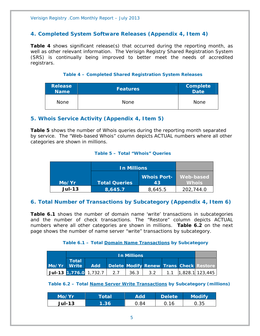#### **4. Completed System Software Releases (Appendix 4, Item 4)**

**Table 4** shows significant release(s) that occurred during the reporting month, as well as other relevant information. The Verisign Registry Shared Registration System (SRS) is continually being improved to better meet the needs of accredited registrars.

#### **Table 4 – Completed Shared Registration System Releases**

| <b>Release</b><br><b>Name</b> | <b>Features</b> | <b>Complete</b><br>Date <sup>1</sup> |
|-------------------------------|-----------------|--------------------------------------|
| <b>None</b>                   | <b>None</b>     | None                                 |

#### **5. Whois Service Activity (Appendix 4, Item 5)**

**Table 5** shows the number of Whois queries during the reporting month separated by service. The "Web-based Whois" column depicts ACTUAL numbers where all other categories are shown in millions.

#### **Table 5 – Total "Whois" Queries**

|          | <b>In Millions</b>   |                          |                           |
|----------|----------------------|--------------------------|---------------------------|
| Mo/Yr    | <b>Total Queries</b> | <b>Whois Port-</b><br>43 | Web-based<br><b>Whois</b> |
| $Jul-13$ | 8,645.7              | 8,645.5                  | 202,744.0                 |

#### **6. Total Number of Transactions by Subcategory (Appendix 4, Item 6)**

**Table 6.1** shows the number of domain name 'write' transactions in subcategories and the number of check transactions. The "Restore" column depicts ACTUAL numbers where all other categories are shown in millions. **Table 6.2** on the next page shows the number of name server "write" transactions by subcategory.

#### **Table 6.1 – Total Domain Name Transactions by Subcategory**

|             |       | <b>In Millions</b>                    |  |      |     |  |  |                                         |
|-------------|-------|---------------------------------------|--|------|-----|--|--|-----------------------------------------|
| Mo/Yr Write | Total | <b>Add</b>                            |  |      |     |  |  | Delete Modify Renew Trans Check Restore |
|             |       | $ $ Jul-13 $ 1,776.0$ 1,732.7 $ $ 2.7 |  | 36.3 | 3.2 |  |  | $1.1$   1,828.1   123,445               |

#### **Table 6.2 – Total Name Server Write Transactions by Subcategory (millions)**

| Mo/Yr         | <b>Total</b> | Add | <b>Delete</b> | <b>Modify</b> |
|---------------|--------------|-----|---------------|---------------|
| <b>Jul-13</b> | .36          | 84  |               | 0.35          |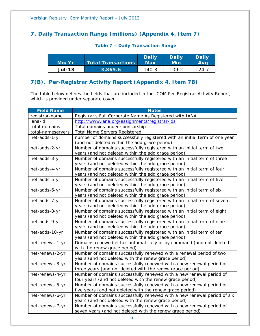### **7. Daily Transaction Range (millions) (Appendix 4, Item 7)**

| Mo/Yr         | <b>Total Transactions</b> | <b>Daily</b><br>Max | <b>Daily</b><br>Min | <b>Daily</b><br>Ava |
|---------------|---------------------------|---------------------|---------------------|---------------------|
| <b>Jul-13</b> | 3,865.6                   | 140.3               | 109.2               | 124.                |

#### **Table 7 – Daily Transaction Range**

#### **7(B). Per-Registrar Activity Report (Appendix 4, Item 7B)**

The table below defines the fields that are included in the .COM Per-Registrar Activity Report, which is provided under separate cover.

| <b>Field Name</b> | <b>Notes</b>                                                               |
|-------------------|----------------------------------------------------------------------------|
| registrar-name    | Registrar's Full Corporate Name As Registered with IANA                    |
| iana-id           | http://www.iana.org/assignments/registrar-ids                              |
| total-domains     | Total domains under sponsorship                                            |
| total-nameservers | <b>Total Name Servers Registered</b>                                       |
| net-adds-1-yr     | number of domains successfully registered with an initial term of one year |
|                   | (and not deleted within the add grace period)                              |
| net-adds-2-yr     | Number of domains successfully registered with an initial term of two      |
|                   | years (and not deleted within the add grace period)                        |
| net-adds-3-yr     | Number of domains successfully registered with an initial term of three    |
|                   | years (and not deleted within the add grace period)                        |
| net-adds-4-yr     | Number of domains successfully registered with an initial term of four     |
|                   | years (and not deleted within the add grace period)                        |
| net-adds-5-yr     | Number of domains successfully registered with an initial term of five     |
|                   | years (and not deleted within the add grace period)                        |
| net-adds-6-yr     | Number of domains successfully registered with an initial term of six      |
|                   | years (and not deleted within the add grace period)                        |
| net-adds-7-yr     | Number of domains successfully registered with an initial term of seven    |
|                   | years (and not deleted within the add grace period)                        |
| net-adds-8-yr     | Number of domains successfully registered with an initial term of eight    |
|                   | years (and not deleted within the add grace period)                        |
| net-adds-9-yr     | Number of domains successfully registered with an initial term of nine     |
|                   | years (and not deleted within the add grace period)                        |
| net-adds-10-yr    | Number of domains successfully registered with an initial term of ten      |
|                   | years (and not deleted within the add grace period)                        |
| net-renews-1-yr   | Domains renewed either automatically or by command (and not deleted        |
|                   | with the renew grace period)                                               |
| net-renews-2-yr   | Number of domains successfully renewed with a renewal period of two        |
|                   | years (and not deleted with the renew grace period)                        |
| net-renews-3-yr   | Number of domains successfully renewed with a new renewal period of        |
|                   | three years (and not deleted with the renew grace period)                  |
| net-renews-4-yr   | Number of domains successfully renewed with a new renewal period of        |
|                   | four years (and not deleted with the renew grace period)                   |
| net-renews-5-yr   | Number of domains successfully renewed with a new renewal period of        |
|                   | five years (and not deleted with the renew grace period)                   |
| net-renews-6-yr   | Number of domains successfully renewed with a new renewal period of six    |
|                   | years (and not deleted with the renew grace period)                        |
| net-renews-7-yr   | Number of domains successfully renewed with a new renewal period of        |
|                   | seven years (and not deleted with the renew grace period)                  |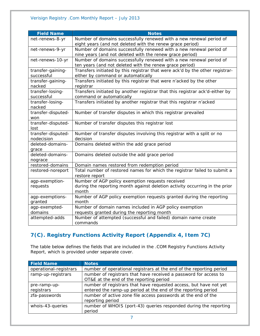| <b>Field Name</b>  | <b>Notes</b>                                                                                                                     |
|--------------------|----------------------------------------------------------------------------------------------------------------------------------|
| net-renews-8-yr    | Number of domains successfully renewed with a new renewal period of<br>eight years (and not deleted with the renew grace period) |
| net-renews-9-yr    | Number of domains successfully renewed with a new renewal period of                                                              |
|                    | nine years (and not deleted with the renew grace period)                                                                         |
| net-renews-10-yr   | Number of domains successfully renewed with a new renewal period of                                                              |
|                    | ten years (and not deleted with the renew grace period)                                                                          |
| transfer-gaining-  | Transfers initiated by this registrar that were ack'd by the other registrar-                                                    |
| successful         | either by command or automatically                                                                                               |
| transfer-gaining-  | Transfers initiated by this registrar that were n'acked by the other                                                             |
| nacked             | registrar                                                                                                                        |
| transfer-losing-   | Transfers initiated by another registrar that this registrar ack'd-either by                                                     |
| successful         | command or automatically                                                                                                         |
| transfer-losing-   | Transfers initiated by another registrar that this registrar n'acked                                                             |
| nacked             |                                                                                                                                  |
| transfer-disputed- | Number of transfer disputes in which this registrar prevailed                                                                    |
| won                |                                                                                                                                  |
| transfer-disputed- | Number of transfer disputes this registrar lost                                                                                  |
| lost               |                                                                                                                                  |
| transfer-disputed- | Number of transfer disputes involving this registrar with a split or no                                                          |
| nodecision         | decision                                                                                                                         |
| deleted-domains-   | Domains deleted within the add grace period                                                                                      |
| grace              |                                                                                                                                  |
| deleted-domains-   | Domains deleted outside the add grace period                                                                                     |
| nograce            |                                                                                                                                  |
| restored-domains   | Domain names restored from redemption period                                                                                     |
| restored-noreport  | Total number of restored names for which the registrar failed to submit a<br>restore report                                      |
| agp-exemption-     | Number of AGP policy exemption requests received                                                                                 |
| requests           | during the reporting month against deletion activity occurring in the prior<br>month                                             |
| agp-exemptions-    | Number of AGP policy exemption requests granted during the reporting                                                             |
| granted            | month                                                                                                                            |
| agp-exempted-      | Number of domain names included in AGP policy exemption                                                                          |
| domains            | requests granted during the reporting month                                                                                      |
| attempted-adds     | Number of attempted (successful and failed) domain name create                                                                   |
|                    | commands                                                                                                                         |

### **7(C). Registry Functions Activity Report (Appendix 4, Item 7C)**

The table below defines the fields that are included in the .COM Registry Functions Activity Report, which is provided under separate cover.

| <b>Field Name</b>          | <b>Notes</b>                                                                                                                       |
|----------------------------|------------------------------------------------------------------------------------------------------------------------------------|
| operational-registrars     | number of operational registrars at the end of the reporting period                                                                |
| ramp-up-registrars         | number of registrars that have received a password for access to<br>OT&E at the end of the reporting period                        |
| pre-ramp-up-<br>registrars | number of registrars that have requested access, but have not yet<br>entered the ramp-up period at the end of the reporting period |
| zfa-passwords              | number of active zone file access passwords at the end of the<br>reporting period                                                  |
| whois-43-queries           | number of WHOIS (port-43) queries responded during the reporting<br>period                                                         |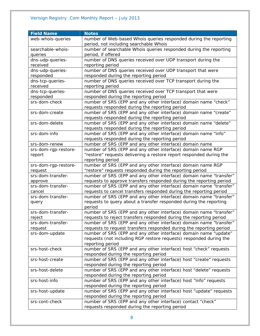| <b>Field Name</b>    | <b>Notes</b>                                                                                               |
|----------------------|------------------------------------------------------------------------------------------------------------|
| web-whois-queries    | number of Web-based Whois queries responded during the reporting<br>period, not including searchable Whois |
| searchable-whois-    | number of searchable Whois queries responded during the reporting                                          |
| queries              | period, if offered                                                                                         |
| dns-udp-queries-     | number of DNS queries received over UDP transport during the                                               |
| received             | reporting period                                                                                           |
| dns-udp-queries-     | number of DNS queries received over UDP transport that were                                                |
| responded            | responded during the reporting period                                                                      |
| dns-tcp-queries-     | number of DNS queries received over TCP transport during the                                               |
| received             | reporting period                                                                                           |
| dns-tcp-queries-     | number of DNS queries received over TCP transport that were                                                |
| responded            | responded during the reporting period                                                                      |
| srs-dom-check        | number of SRS (EPP and any other interface) domain name "check"                                            |
|                      | requests responded during the reporting period                                                             |
| srs-dom-create       | number of SRS (EPP and any other interface) domain name "create"                                           |
|                      | requests responded during the reporting period                                                             |
| srs-dom-delete       | number of SRS (EPP and any other interface) domain name "delete"                                           |
|                      | requests responded during the reporting period                                                             |
| srs-dom-info         | number of SRS (EPP and any other interface) domain name "info"                                             |
|                      | requests responded during the reporting period                                                             |
| srs-dom-renew        | number of SRS (EPP and any other interface) domain name                                                    |
| srs-dom-rgp-restore- | number of SRS (EPP and any other interface) domain name RGP                                                |
| report               | "restore" requests delivering a restore report responded during the                                        |
|                      | reporting period                                                                                           |
| srs-dom-rgp-restore- | number of SRS (EPP and any other interface) domain name RGP                                                |
| request              | "restore" requests responded during the reporting period                                                   |
| srs-dom-transfer-    | number of SRS (EPP and any other interface) domain name "transfer"                                         |
| approve              | requests to approve transfers responded during the reporting period                                        |
| srs-dom-transfer-    | number of SRS (EPP and any other interface) domain name "transfer"                                         |
| cancel               | requests to cancel transfers responded during the reporting period                                         |
| srs-dom-transfer-    | number of SRS (EPP and any other interface) domain name "transfer"                                         |
| query                | requests to query about a transfer responded during the reporting<br>period                                |
| srs-dom-transfer-    | number of SRS (EPP and any other interface) domain name "transfer"                                         |
| reject               | requests to reject transfers responded during the reporting period                                         |
| srs-dom-transfer-    | number of SRS (EPP and any other interface) domain name "transfer"                                         |
| request              | requests to request transfers responded during the reporting period                                        |
| srs-dom-update       | number of SRS (EPP and any other interface) domain name "update"                                           |
|                      | requests (not including RGP restore requests) responded during the                                         |
|                      | reporting period                                                                                           |
| srs-host-check       | number of SRS (EPP and any other interface) host "check" requests                                          |
|                      | responded during the reporting period                                                                      |
| srs-host-create      | number of SRS (EPP and any other interface) host "create" requests                                         |
|                      | responded during the reporting period                                                                      |
| srs-host-delete      | number of SRS (EPP and any other interface) host "delete" requests                                         |
|                      | responded during the reporting period                                                                      |
| srs-host-info        | number of SRS (EPP and any other interface) host "info" requests                                           |
|                      | responded during the reporting period                                                                      |
| srs-host-update      | number of SRS (EPP and any other interface) host "update" requests                                         |
|                      | responded during the reporting period                                                                      |
| srs-cont-check       | number of SRS (EPP and any other interface) contact "check"                                                |
|                      | requests responded during the reporting period                                                             |